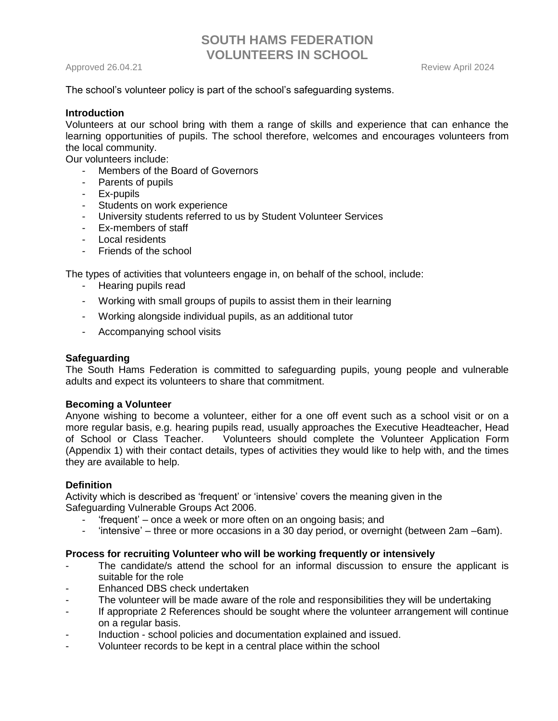Approved 26.04.21 Review April 2024

The school's volunteer policy is part of the school's safeguarding systems.

### **Introduction**

Volunteers at our school bring with them a range of skills and experience that can enhance the learning opportunities of pupils. The school therefore, welcomes and encourages volunteers from the local community.

Our volunteers include:

- Members of the Board of Governors
- Parents of pupils
- Ex-pupils
- Students on work experience
- University students referred to us by Student Volunteer Services
- Ex-members of staff
- Local residents
- Friends of the school

The types of activities that volunteers engage in, on behalf of the school, include:

- Hearing pupils read
- Working with small groups of pupils to assist them in their learning
- Working alongside individual pupils, as an additional tutor
- Accompanying school visits

## **Safeguarding**

The South Hams Federation is committed to safeguarding pupils, young people and vulnerable adults and expect its volunteers to share that commitment.

### **Becoming a Volunteer**

Anyone wishing to become a volunteer, either for a one off event such as a school visit or on a more regular basis, e.g. hearing pupils read, usually approaches the Executive Headteacher, Head of School or Class Teacher. Volunteers should complete the Volunteer Application Form (Appendix 1) with their contact details, types of activities they would like to help with, and the times they are available to help.

### **Definition**

Activity which is described as 'frequent' or 'intensive' covers the meaning given in the Safeguarding Vulnerable Groups Act 2006.

- 'frequent' once a week or more often on an ongoing basis; and
- 'intensive' three or more occasions in a 30 day period, or overnight (between 2am –6am).

### **Process for recruiting Volunteer who will be working frequently or intensively**

- The candidate/s attend the school for an informal discussion to ensure the applicant is suitable for the role
- Enhanced DBS check undertaken
- The volunteer will be made aware of the role and responsibilities they will be undertaking
- If appropriate 2 References should be sought where the volunteer arrangement will continue on a regular basis.
- Induction school policies and documentation explained and issued.
- Volunteer records to be kept in a central place within the school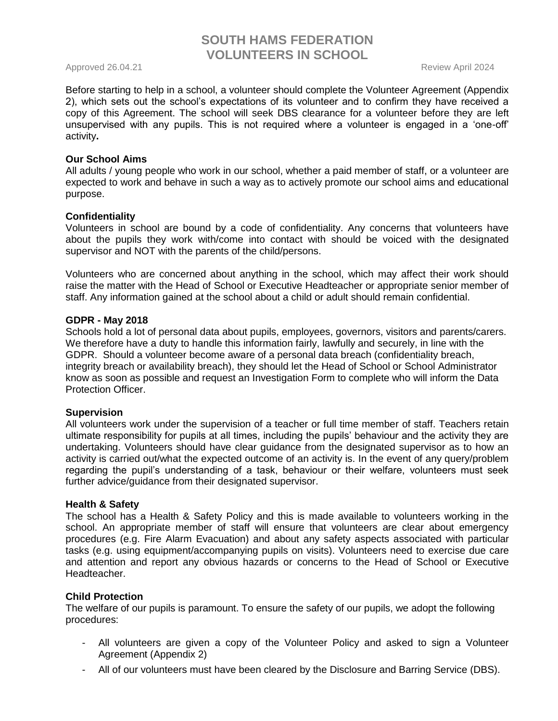Approved 26.04.21 Review April 2024

Before starting to help in a school, a volunteer should complete the Volunteer Agreement (Appendix 2), which sets out the school's expectations of its volunteer and to confirm they have received a copy of this Agreement. The school will seek DBS clearance for a volunteer before they are left unsupervised with any pupils. This is not required where a volunteer is engaged in a 'one-off' activity**.** 

#### **Our School Aims**

All adults / young people who work in our school, whether a paid member of staff, or a volunteer are expected to work and behave in such a way as to actively promote our school aims and educational purpose.

#### **Confidentiality**

Volunteers in school are bound by a code of confidentiality. Any concerns that volunteers have about the pupils they work with/come into contact with should be voiced with the designated supervisor and NOT with the parents of the child/persons.

Volunteers who are concerned about anything in the school, which may affect their work should raise the matter with the Head of School or Executive Headteacher or appropriate senior member of staff. Any information gained at the school about a child or adult should remain confidential.

#### **GDPR - May 2018**

Schools hold a lot of personal data about pupils, employees, governors, visitors and parents/carers. We therefore have a duty to handle this information fairly, lawfully and securely, in line with the GDPR. Should a volunteer become aware of a personal data breach (confidentiality breach, integrity breach or availability breach), they should let the Head of School or School Administrator know as soon as possible and request an Investigation Form to complete who will inform the Data Protection Officer.

### **Supervision**

All volunteers work under the supervision of a teacher or full time member of staff. Teachers retain ultimate responsibility for pupils at all times, including the pupils' behaviour and the activity they are undertaking. Volunteers should have clear guidance from the designated supervisor as to how an activity is carried out/what the expected outcome of an activity is. In the event of any query/problem regarding the pupil's understanding of a task, behaviour or their welfare, volunteers must seek further advice/guidance from their designated supervisor.

#### **Health & Safety**

The school has a Health & Safety Policy and this is made available to volunteers working in the school. An appropriate member of staff will ensure that volunteers are clear about emergency procedures (e.g. Fire Alarm Evacuation) and about any safety aspects associated with particular tasks (e.g. using equipment/accompanying pupils on visits). Volunteers need to exercise due care and attention and report any obvious hazards or concerns to the Head of School or Executive Headteacher.

### **Child Protection**

The welfare of our pupils is paramount. To ensure the safety of our pupils, we adopt the following procedures:

- All volunteers are given a copy of the Volunteer Policy and asked to sign a Volunteer Agreement (Appendix 2)
- All of our volunteers must have been cleared by the Disclosure and Barring Service (DBS).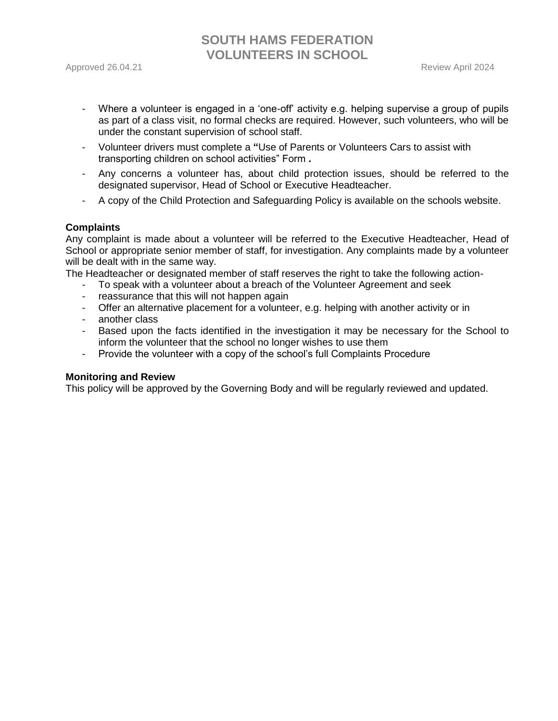- Where a volunteer is engaged in a 'one-off' activity e.g. helping supervise a group of pupils as part of a class visit, no formal checks are required. However, such volunteers, who will be under the constant supervision of school staff.
- Volunteer drivers must complete a **"**Use of Parents or Volunteers Cars to assist with transporting children on school activities" Form **.**
- Any concerns a volunteer has, about child protection issues, should be referred to the designated supervisor, Head of School or Executive Headteacher.
- A copy of the Child Protection and Safeguarding Policy is available on the schools website.

#### **Complaints**

Any complaint is made about a volunteer will be referred to the Executive Headteacher, Head of School or appropriate senior member of staff, for investigation. Any complaints made by a volunteer will be dealt with in the same way.

The Headteacher or designated member of staff reserves the right to take the following action-

- To speak with a volunteer about a breach of the Volunteer Agreement and seek
- reassurance that this will not happen again
- Offer an alternative placement for a volunteer, e.g. helping with another activity or in
- another class
- Based upon the facts identified in the investigation it may be necessary for the School to inform the volunteer that the school no longer wishes to use them
- Provide the volunteer with a copy of the school's full Complaints Procedure

#### **Monitoring and Review**

This policy will be approved by the Governing Body and will be regularly reviewed and updated.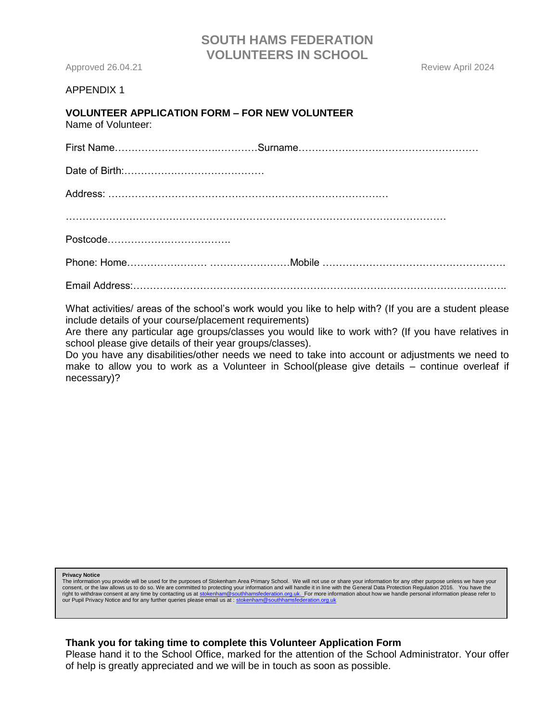Approved 26.04.21 **Approved 26.04.21** Approved 26.04.21

#### APPENDIX 1

## **VOLUNTEER APPLICATION FORM – FOR NEW VOLUNTEER**

Name of Volunteer:

First Name………………………….…………Surname………………………………………………

Date of Birth:……………………………………

Address: …………………………………………………………………………

……………………………………………………………………………………………………

Postcode……………………………….

Phone: Home…………………… ……………………Mobile ……………………………………………….

Email Address:………………………………………………………………………………………………….

What activities/ areas of the school's work would you like to help with? (If you are a student please include details of your course/placement requirements)

Are there any particular age groups/classes you would like to work with? (If you have relatives in school please give details of their year groups/classes).

Do you have any disabilities/other needs we need to take into account or adjustments we need to make to allow you to work as a Volunteer in School(please give details – continue overleaf if necessary)?

**Privacy Notice**

The information you provide will be used for the purposes of Stokenham Area Primary School. We will not use or share your information for any other purpose unless we have your<br>consent, or the law allows us to do so. We are our Pupil Privacy Notice and for any further queries please email us at : stokenham@southhamsfed

#### **Thank you for taking time to complete this Volunteer Application Form**

Please hand it to the School Office, marked for the attention of the School Administrator. Your offer of help is greatly appreciated and we will be in touch as soon as possible.